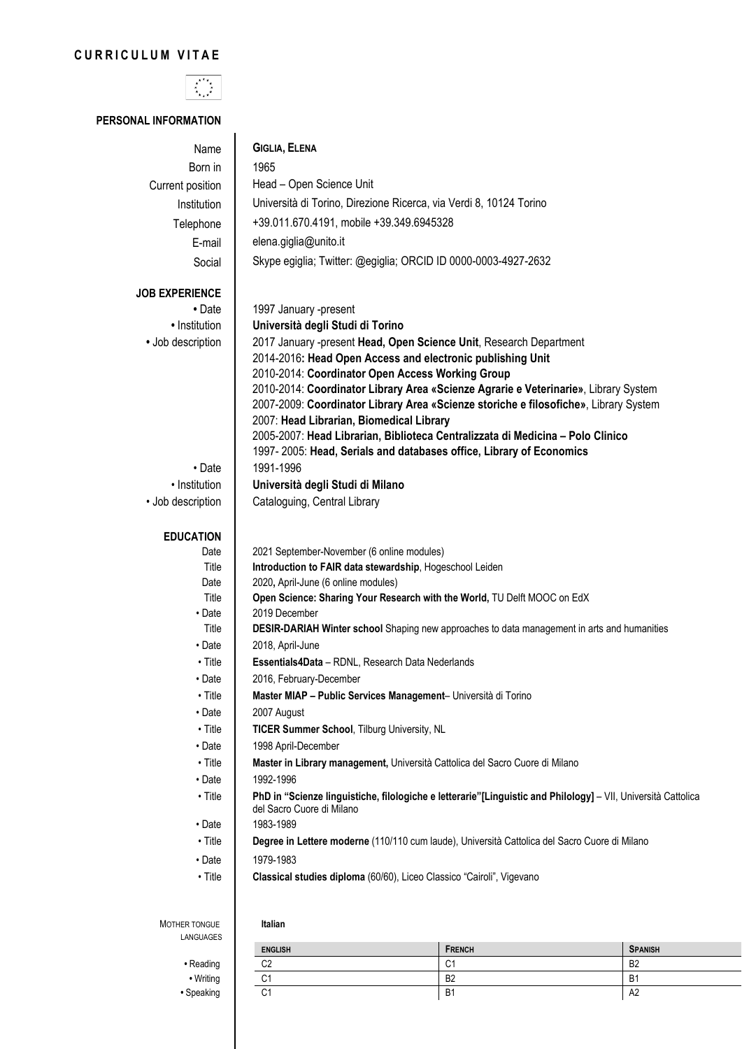# **CURRICULUM VITAE**



## **PERSONAL INFORMATION**

| Name                    | <b>GIGLIA, ELENA</b>                                                                                          |  |  |  |
|-------------------------|---------------------------------------------------------------------------------------------------------------|--|--|--|
| Born in                 | 1965                                                                                                          |  |  |  |
| Current position        | Head - Open Science Unit                                                                                      |  |  |  |
| Institution             | Università di Torino, Direzione Ricerca, via Verdi 8, 10124 Torino                                            |  |  |  |
| Telephone               | +39.011.670.4191, mobile +39.349.6945328                                                                      |  |  |  |
|                         |                                                                                                               |  |  |  |
| E-mail                  | elena.giglia@unito.it                                                                                         |  |  |  |
| Social                  | Skype egiglia; Twitter: @egiglia; ORCID ID 0000-0003-4927-2632                                                |  |  |  |
| <b>JOB EXPERIENCE</b>   |                                                                                                               |  |  |  |
| • Date                  | 1997 January -present                                                                                         |  |  |  |
| • Institution           | Università degli Studi di Torino                                                                              |  |  |  |
| • Job description       | 2017 January -present Head, Open Science Unit, Research Department                                            |  |  |  |
|                         | 2014-2016: Head Open Access and electronic publishing Unit                                                    |  |  |  |
|                         | 2010-2014: Coordinator Open Access Working Group                                                              |  |  |  |
|                         | 2010-2014: Coordinator Library Area «Scienze Agrarie e Veterinarie», Library System                           |  |  |  |
|                         | 2007-2009: Coordinator Library Area «Scienze storiche e filosofiche», Library System                          |  |  |  |
|                         | 2007: Head Librarian, Biomedical Library                                                                      |  |  |  |
|                         | 2005-2007: Head Librarian, Biblioteca Centralizzata di Medicina - Polo Clinico                                |  |  |  |
| • Date                  | 1997-2005: Head, Serials and databases office, Library of Economics<br>1991-1996                              |  |  |  |
| • Institution           | Università degli Studi di Milano                                                                              |  |  |  |
| • Job description       | Cataloguing, Central Library                                                                                  |  |  |  |
|                         |                                                                                                               |  |  |  |
| <b>EDUCATION</b>        |                                                                                                               |  |  |  |
| Date                    | 2021 September-November (6 online modules)                                                                    |  |  |  |
| Title                   | Introduction to FAIR data stewardship, Hogeschool Leiden                                                      |  |  |  |
| Date                    | 2020, April-June (6 online modules)                                                                           |  |  |  |
| Title                   | Open Science: Sharing Your Research with the World, TU Delft MOOC on EdX                                      |  |  |  |
| • Date                  | 2019 December                                                                                                 |  |  |  |
| Title                   | DESIR-DARIAH Winter school Shaping new approaches to data management in arts and humanities                   |  |  |  |
| • Date                  | 2018, April-June                                                                                              |  |  |  |
| • Title                 | Essentials4Data - RDNL, Research Data Nederlands                                                              |  |  |  |
| • Date                  | 2016, February-December                                                                                       |  |  |  |
| • Title                 | Master MIAP - Public Services Management- Università di Torino                                                |  |  |  |
| • Date                  | 2007 August                                                                                                   |  |  |  |
| $\cdot$ Title           | TICER Summer School, Tilburg University, NL                                                                   |  |  |  |
| $\cdot$ Date            | 1998 April-December                                                                                           |  |  |  |
| $\cdot$ Title           | Master in Library management, Università Cattolica del Sacro Cuore di Milano<br>1992-1996                     |  |  |  |
| • Date<br>$\cdot$ Title | PhD in "Scienze linguistiche, filologiche e letterarie"[Linguistic and Philology] - VII, Università Cattolica |  |  |  |
|                         | del Sacro Cuore di Milano                                                                                     |  |  |  |
| • Date                  | 1983-1989                                                                                                     |  |  |  |
| $\cdot$ Title           | Degree in Lettere moderne (110/110 cum laude), Università Cattolica del Sacro Cuore di Milano                 |  |  |  |
| $\cdot$ Date            | 1979-1983                                                                                                     |  |  |  |
| $\cdot$ Title           | Classical studies diploma (60/60), Liceo Classico "Cairoli", Vigevano                                         |  |  |  |
|                         |                                                                                                               |  |  |  |
|                         |                                                                                                               |  |  |  |
| MOTHER TONGUE           | Italian                                                                                                       |  |  |  |
| LANGUAGES               |                                                                                                               |  |  |  |

|           | <b>ENGLISH</b> | <b>FRENCH</b>  | <b>SPANISH</b> |
|-----------|----------------|----------------|----------------|
| • Reading | ro<br>◡∠       | $\sim$<br>◡    | B <sub>2</sub> |
| • Writing | $\sim$<br>U    | B <sub>2</sub> | B1             |
| Speaking  | $\sim$<br>◡    | B <sub>1</sub> | A <sub>2</sub> |